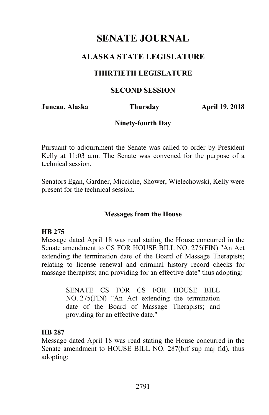# **ALASKA STATE LEGISLATURE**

### **THIRTIETH LEGISLATURE**

#### **SECOND SESSION**

**Juneau, Alaska Thursday April 19, 2018** 

#### **Ninety-fourth Day**

Pursuant to adjournment the Senate was called to order by President Kelly at 11:03 a.m. The Senate was convened for the purpose of a technical session.

Senators Egan, Gardner, Micciche, Shower, Wielechowski, Kelly were present for the technical session.

#### **Messages from the House**

#### **HB 275**

Message dated April 18 was read stating the House concurred in the Senate amendment to CS FOR HOUSE BILL NO. 275(FIN) "An Act extending the termination date of the Board of Massage Therapists; relating to license renewal and criminal history record checks for massage therapists; and providing for an effective date" thus adopting:

> SENATE CS FOR CS FOR HOUSE BILL NO. 275(FIN) "An Act extending the termination date of the Board of Massage Therapists; and providing for an effective date."

#### **HB 287**

Message dated April 18 was read stating the House concurred in the Senate amendment to HOUSE BILL NO. 287(brf sup maj fld), thus adopting: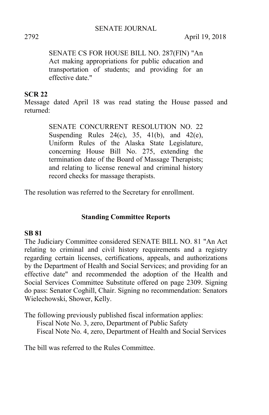2792 April 19, 2018

SENATE CS FOR HOUSE BILL NO. 287(FIN) "An Act making appropriations for public education and transportation of students; and providing for an effective date."

## **SCR 22**

Message dated April 18 was read stating the House passed and returned:

> SENATE CONCURRENT RESOLUTION NO. 22 Suspending Rules  $24(c)$ ,  $35$ ,  $41(b)$ , and  $42(e)$ , Uniform Rules of the Alaska State Legislature, concerning House Bill No. 275, extending the termination date of the Board of Massage Therapists; and relating to license renewal and criminal history record checks for massage therapists.

The resolution was referred to the Secretary for enrollment.

#### **Standing Committee Reports**

#### **SB 81**

The Judiciary Committee considered SENATE BILL NO. 81 "An Act relating to criminal and civil history requirements and a registry regarding certain licenses, certifications, appeals, and authorizations by the Department of Health and Social Services; and providing for an effective date" and recommended the adoption of the Health and Social Services Committee Substitute offered on page 2309. Signing do pass: Senator Coghill, Chair. Signing no recommendation: Senators Wielechowski, Shower, Kelly.

The following previously published fiscal information applies: Fiscal Note No. 3, zero, Department of Public Safety Fiscal Note No. 4, zero, Department of Health and Social Services

The bill was referred to the Rules Committee.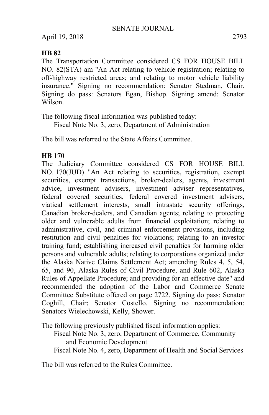April 19, 2018 2793

### **HB 82**

The Transportation Committee considered CS FOR HOUSE BILL NO. 82(STA) am "An Act relating to vehicle registration; relating to off-highway restricted areas; and relating to motor vehicle liability insurance." Signing no recommendation: Senator Stedman, Chair. Signing do pass: Senators Egan, Bishop. Signing amend: Senator Wilson.

The following fiscal information was published today:

Fiscal Note No. 3, zero, Department of Administration

The bill was referred to the State Affairs Committee.

# **HB 170**

The Judiciary Committee considered CS FOR HOUSE BILL NO. 170(JUD) "An Act relating to securities, registration, exempt securities, exempt transactions, broker-dealers, agents, investment advice, investment advisers, investment adviser representatives, federal covered securities, federal covered investment advisers, viatical settlement interests, small intrastate security offerings, Canadian broker-dealers, and Canadian agents; relating to protecting older and vulnerable adults from financial exploitation; relating to administrative, civil, and criminal enforcement provisions, including restitution and civil penalties for violations; relating to an investor training fund; establishing increased civil penalties for harming older persons and vulnerable adults; relating to corporations organized under the Alaska Native Claims Settlement Act; amending Rules 4, 5, 54, 65, and 90, Alaska Rules of Civil Procedure, and Rule 602, Alaska Rules of Appellate Procedure; and providing for an effective date" and recommended the adoption of the Labor and Commerce Senate Committee Substitute offered on page 2722. Signing do pass: Senator Coghill, Chair; Senator Costello. Signing no recommendation: Senators Wielechowski, Kelly, Shower.

The following previously published fiscal information applies: Fiscal Note No. 3, zero, Department of Commerce, Community and Economic Development Fiscal Note No. 4, zero, Department of Health and Social Services

The bill was referred to the Rules Committee.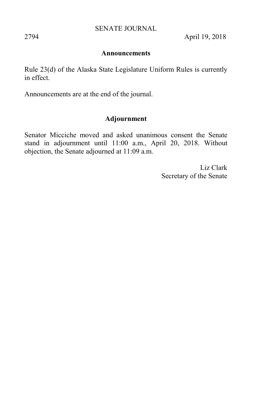2794 April 19, 2018

#### **Announcements**

Rule 23(d) of the Alaska State Legislature Uniform Rules is currently in effect.

Announcements are at the end of the journal.

### **Adjournment**

Senator Micciche moved and asked unanimous consent the Senate stand in adjournment until 11:00 a.m., April 20, 2018. Without objection, the Senate adjourned at 11:09 a.m.

> Liz Clark Secretary of the Senate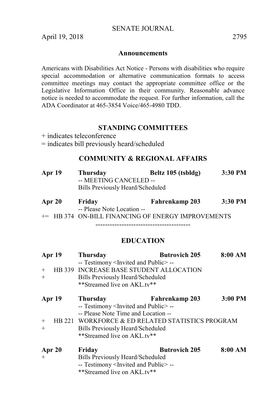April 19, 2018 2795

#### **Announcements**

Americans with Disabilities Act Notice - Persons with disabilities who require special accommodation or alternative communication formats to access committee meetings may contact the appropriate committee office or the Legislative Information Office in their community. Reasonable advance notice is needed to accommodate the request. For further information, call the ADA Coordinator at 465-3854 Voice/465-4980 TDD.

#### **STANDING COMMITTEES**

+ indicates teleconference

= indicates bill previously heard/scheduled

#### **COMMUNITY & REGIONAL AFFAIRS**

| Apr 19 | Thursday                         | Beltz 105 (tsbldg) | 3:30 PM |
|--------|----------------------------------|--------------------|---------|
|        | -- MEETING CANCELED --           |                    |         |
|        | Bills Previously Heard/Scheduled |                    |         |
|        |                                  |                    |         |

| Apr 20 | Friday                                                        | Fahrenkamp 203 | 3:30 PM |
|--------|---------------------------------------------------------------|----------------|---------|
|        | -- Please Note Location --                                    |                |         |
|        | <sup>+=</sup> HB 374 ON-BILL FINANCING OF ENERGY IMPROVEMENTS |                |         |

----------------------------------------

# **EDUCATION**

| Apr 19<br>$^{+}$<br>$^{+}$ | Thursday<br>-- Testimony <invited and="" public=""> --<br/>HB 339 INCREASE BASE STUDENT ALLOCATION<br/>Bills Previously Heard/Scheduled<br/>**Streamed live on AKL.tv**</invited>                                                     | <b>Butrovich 205</b>  | 8:00 AM   |
|----------------------------|---------------------------------------------------------------------------------------------------------------------------------------------------------------------------------------------------------------------------------------|-----------------------|-----------|
| Apr 19<br>$+$<br>$+$       | Thursday<br>-- Testimony <invited and="" public="">--<br/>-- Please Note Time and Location --<br/>HB 221 WORKFORCE &amp; ED RELATED STATISTICS PROGRAM<br/>Bills Previously Heard/Scheduled<br/>**Streamed live on AKL.tv**</invited> | <b>Fahrenkamp 203</b> | $3:00$ PM |
| Apr 20<br>$^{+}$           | Friday<br>Bills Previously Heard/Scheduled<br>-- Testimony <invited and="" public="">--<br/>**Streamed live on AKL.tv**</invited>                                                                                                     | <b>Butrovich 205</b>  | 8:00 AM   |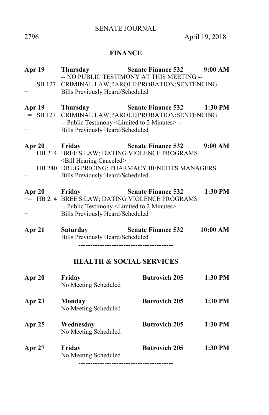# **FINANCE**

| Apr 19<br>$+$<br>$+$                     | Thursday<br>Bills Previously Heard/Scheduled                                                                            | <b>Senate Finance 532</b><br>-- NO PUBLIC TESTIMONY AT THIS MEETING --<br>SB 127 CRIMINAL LAW; PAROLE; PROBATION; SENTENCING | 9:00 AM  |
|------------------------------------------|-------------------------------------------------------------------------------------------------------------------------|------------------------------------------------------------------------------------------------------------------------------|----------|
| <b>Apr 19</b><br>$^{+}$                  | Thursday<br>-- Public Testimony <limited 2="" minutes="" to="">--<br/><b>Bills Previously Heard/Scheduled</b></limited> | <b>Senate Finance 532</b><br>+= SB 127 CRIMINAL LAW; PAROLE; PROBATION; SENTENCING                                           | 1:30 PM  |
| Apr 20 Friday<br>$+$<br>$^{+}$<br>$^{+}$ | <bill canceled="" hearing=""><br/>Bills Previously Heard/Scheduled</bill>                                               | <b>Senate Finance 532</b><br>HB 214 BREE'S LAW; DATING VIOLENCE PROGRAMS<br>HB 240 DRUG PRICING; PHARMACY BENEFITS MANAGERS  | 9:00 AM  |
| Apr 20<br>$^{+}$                         | Friday<br>-- Public Testimony <limited 2="" minutes="" to="">--<br/><b>Bills Previously Heard/Scheduled</b></limited>   | <b>Senate Finance 532</b><br>+= HB 214 BREE'S LAW; DATING VIOLENCE PROGRAMS                                                  | 1:30 PM  |
| Apr 21<br>$+$                            | <b>Saturday</b><br>Bills Previously Heard/Scheduled                                                                     | <b>Senate Finance 532</b>                                                                                                    | 10:00 AM |
|                                          |                                                                                                                         | <b>HEALTH &amp; SOCIAL SERVICES</b>                                                                                          |          |
| Apr 20                                   | Friday<br>No Meeting Scheduled                                                                                          | <b>Butrovich 205</b>                                                                                                         | 1:30 PM  |
| Apr 23                                   | <b>Monday</b><br>No Meeting Scheduled                                                                                   | <b>Butrovich 205</b>                                                                                                         | 1:30 PM  |
| Apr 25                                   | Wednesday<br>No Meeting Scheduled                                                                                       | <b>Butrovich 205</b>                                                                                                         | 1:30 PM  |
| Apr 27                                   | Friday<br>No Meeting Scheduled                                                                                          | <b>Butrovich 205</b>                                                                                                         | 1:30 PM  |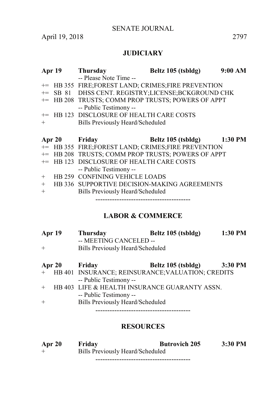April 19, 2018 2797

# **JUDICIARY**

|        | Apr 19        | <b>Thursday</b>                                    | Beltz $105$ (tsbldg)       | 9:00 AM |
|--------|---------------|----------------------------------------------------|----------------------------|---------|
|        |               | -- Please Note Time --                             |                            |         |
|        |               | += HB 355 FIRE;FOREST LAND; CRIMES;FIRE PREVENTION |                            |         |
| $+=$   |               | SB 81 DHSS CENT. REGISTRY;LICENSE;BCKGROUND CHK    |                            |         |
|        |               | += HB 208 TRUSTS; COMM PROP TRUSTS; POWERS OF APPT |                            |         |
|        |               | -- Public Testimony --                             |                            |         |
|        |               | += HB 123 DISCLOSURE OF HEALTH CARE COSTS          |                            |         |
| $+$    |               | Bills Previously Heard/Scheduled                   |                            |         |
|        |               |                                                    |                            |         |
|        |               |                                                    |                            |         |
|        | Apr 20 Friday |                                                    | Beltz 105 (tsbldg) 1:30 PM |         |
|        |               | += HB 355 FIRE;FOREST LAND; CRIMES;FIRE PREVENTION |                            |         |
|        |               | += HB 208 TRUSTS; COMM PROP TRUSTS; POWERS OF APPT |                            |         |
| $+=$   |               | HB 123 DISCLOSURE OF HEALTH CARE COSTS             |                            |         |
|        |               | -- Public Testimony --                             |                            |         |
| $^{+}$ |               | HB 259 CONFINING VEHICLE LOADS                     |                            |         |
| $^{+}$ |               | HB 336 SUPPORTIVE DECISION-MAKING AGREEMENTS       |                            |         |
| $^{+}$ |               | Bills Previously Heard/Scheduled                   |                            |         |

# **LABOR & COMMERCE**

| Apr 19 | Thursday                         | Beltz 105 (tsbldg) | 1:30 PM |
|--------|----------------------------------|--------------------|---------|
|        | -- MEETING CANCELED --           |                    |         |
| $+$    | Bills Previously Heard/Scheduled |                    |         |
|        |                                  |                    |         |
| Apr 20 | Friday                           | Beltz 105 (tsbldg) | 3:30 PM |

|        | + HB 401 INSURANCE; REINSURANCE; VALUATION; CREDITS |
|--------|-----------------------------------------------------|
|        | -- Public Testimony --                              |
|        | + HB 403 LIFE & HEALTH INSURANCE GUARANTY ASSN.     |
|        | -- Public Testimony --                              |
| $^{+}$ | <b>Bills Previously Heard/Scheduled</b>             |
|        |                                                     |

# **RESOURCES**

| Apr 20 | Friday                           | <b>Butrovich 205</b> | $3:30$ PM |
|--------|----------------------------------|----------------------|-----------|
| $^+$   | Bills Previously Heard/Scheduled |                      |           |
|        |                                  |                      |           |